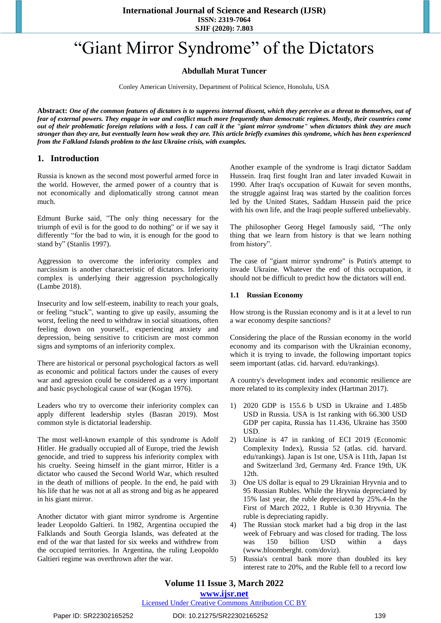**SJIF (2020): 7.803**

# "Giant Mirror Syndrome" of the Dictators

# **Abdullah Murat Tuncer**

Conley American University, Department of Political Science, Honolulu, USA

**Abstract:** *One of the common features of dictators is to suppress internal dissent, which they perceive as a threat to themselves, out of fear of external powers. They engage in war and conflict much more frequently than democratic regimes. Mostly, their countries come out of their problematic foreign relations with a loss. I can call it the "giant mirror syndrome" when dictators think they are much stronger than they are, but eventually learn how weak they are. This article briefly examines this syndrome, which has been experienced from the Falkland Islands problem to the last Ukraine crisis, with examples.* 

## **1. Introduction**

Russia is known as the second most powerful armed force in the world. However, the armed power of a country that is not economically and diplomatically strong cannot mean much.

Edmunt Burke said, "The only thing necessary for the triumph of evil is for the good to do nothing" or if we say it differently "for the bad to win, it is enough for the good to stand by" (Stanlis 1997).

Aggression to overcome the inferiority complex and narcissism is another characteristic of dictators. Inferiority complex is underlying their aggression psychologically (Lambe 2018).

Insecurity and low self-esteem, inability to reach your goals, or feeling "stuck", wanting to give up easily, assuming the worst, feeling the need to withdraw in social situations, often feeling down on yourself., experiencing anxiety and depression, being sensitive to criticism are most common signs and symptoms of an inferiority complex.

There are historical or personal psychological factors as well as economic and political factors under the causes of every war and agression could be considered as a very important and basic psychological cause of war (Kogan 1976).

Leaders who try to overcome their inferiority complex can apply different leadership styles (Basran 2019). Most common style is dictatorial leadership.

The most well-known example of this syndrome is Adolf Hitler. He gradually occupied all of Europe, tried the Jewish genocide, and tried to suppress his inferiority complex with his cruelty. Seeing himself in the giant mirror, Hitler is a dictator who caused the Second World War, which resulted in the death of millions of people. In the end, he paid with his life that he was not at all as strong and big as he appeared in his giant mirror.

Another dictator with giant mirror syndrome is Argentine leader Leopoldo Galtieri. In 1982, Argentina occupied the Falklands and South Georgia Islands, was defeated at the end of the war that lasted for six weeks and withdrew from the occupied territories. In Argentina, the ruling Leopoldo Galtieri regime was overthrown after the war.

Another example of the syndrome is Iraqi dictator Saddam Hussein. Iraq first fought Iran and later invaded Kuwait in 1990. After Iraq's occupation of Kuwait for seven months, the struggle against Iraq was started by the coalition forces led by the United States, Saddam Hussein paid the price with his own life, and the Iraqi people suffered unbelievably.

The philosopher Georg Hegel famously said, "The only thing that we learn from history is that we learn nothing from history".

The case of "giant mirror syndrome" is Putin's attempt to invade Ukraine. Whatever the end of this occupation, it should not be difficult to predict how the dictators will end.

#### **1.1 Russian Economy**

How strong is the Russian economy and is it at a level to run a war economy despite sanctions?

Considering the place of the Russian economy in the world economy and its comparison with the Ukrainian economy, which it is trying to invade, the following important topics seem important (atlas. cid. harvard. edu/rankings).

A country's development index and economic resilience are more related to its complexity index (Hartman 2017).

- 1) 2020 GDP is 155.6 b USD in Ukraine and 1.485b USD in Russia. USA is 1st ranking with 66.300 USD GDP per capita, Russia has 11.436, Ukraine has 3500 USD.
- 2) Ukraine is 47 in ranking of ECI 2019 (Economic Complexity Index), Russia 52 (atlas. cid. harvard. edu/rankings). Japan is 1st one, USA is 11th, Japan 1st and Switzerland 3rd, Germany 4rd. France 19th, UK 12th.
- 3) One US dollar is equal to 29 Ukrainian Hryvnia and to 95 Russian Rubles. While the Hryvnia depreciated by 15% last year, the ruble depreciated by 25%.4-In the First of March 2022, 1 Ruble is 0.30 Hryvnia. The ruble is depreciating rapidly.
- 4) The Russian stock market had a big drop in the last week of February and was closed for trading. The loss was 150 billion USD within a days [\(www.bloomberght. com/doviz\).](http://www.bloomberght.com/doviz))
- 5) Russia's central bank more than doubled its key interest rate to 20%, and the Ruble fell to a record low

# **Volume 11 Issue 3, March 2022**

#### **www.ijsr.net**

Licensed Under Creative Commons Attribution CC BY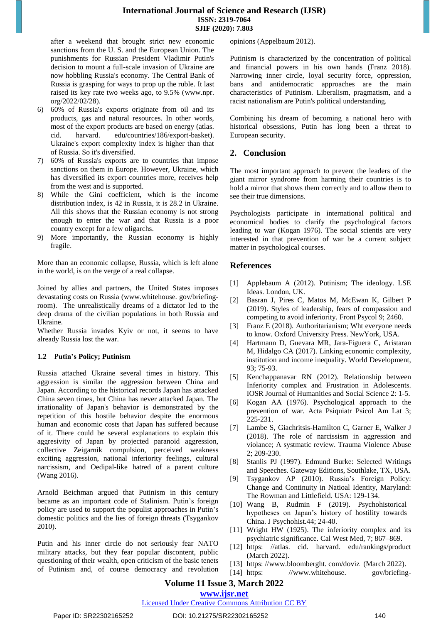after a weekend that brought strict new economic sanctions from the U. S. and the European Union. The punishments for Russian President Vladimir Putin's decision to mount a full-scale invasion of Ukraine are now hobbling Russia's economy. The Central Bank of Russia is grasping for ways to prop up the ruble. It last raised its key rate two weeks ago, to 9.5% [\(www.npr.](http://www.npr.org/2022/02/28))  [org/2022/02/28\).](http://www.npr.org/2022/02/28)) 

- 6) 60% of Russia's exports originate from oil and its products, gas and natural resources. In other words, most of the export products are based on energy (atlas. cid. harvard. edu/countries/186/export-basket). Ukraine's export complexity index is higher than that of Russia. So it's diversified.
- 7) 60% of Russia's exports are to countries that impose sanctions on them in Europe. However, Ukraine, which has diversified its export countries more, receives help from the west and is supported.
- 8) While the Gini coefficient, which is the income distribution index, is 42 in Russia, it is 28.2 in Ukraine. All this shows that the Russian economy is not strong enough to enter the war and that Russia is a poor country except for a few oligarchs.
- 9) More importantly, the Russian economy is highly fragile.

More than an economic collapse, Russia, which is left alone in the world, is on the verge of a real collapse.

Joined by allies and partners, the United States imposes devastating costs on Russia [\(www.whitehouse.](http://www.whitehouse.gov/briefing-room)) gov/briefing[room\).](http://www.whitehouse.gov/briefing-room)) The unrealistically dreams of a dictator led to the deep drama of the civilian populations in both Russia and Ukraine.

Whether Russia invades Kyiv or not, it seems to have already Russia lost the war.

#### **1.2 Putin's Policy; Putinism**

Russia attached Ukraine several times in history. This aggression is similar the aggression between China and Japan. According to the historical records Japan has attacked China seven times, but China has never attacked Japan. The irrationality of Japan's behavior is demonstrated by the repetition of this hostile behavior despite the enormous human and economic costs that Japan has suffered because of it. There could be several explanations to explain this aggresivity of Japan by projected paranoid aggression, collective Zeigarnik compulsion, perceived weakness exciting aggression, national inferiority feelings, cultural narcissism, and Oedipal-like hatred of a parent culture (Wang 2016).

Arnold Beichman argued that Putinism in this century became as an important code of Stalinism. Putin's foreign policy are used to support the populist approaches in Putin's domestic politics and the lies of foreign threats (Tsygankov 2010).

Putin and his inner circle do not seriously fear NATO military attacks, but they fear popular discontent, public questioning of their wealth, open criticism of the basic tenets of Putinism and, of course democracy and revolution opinions (Appelbaum 2012).

Putinism is characterized by the concentration of political and financial powers in his own hands (Franz 2018). Narrowing inner circle, loyal security force, oppression, bans and antidemocratic approaches are the main characteristics of Putinism. Liberalism, pragmatism, and a racist nationalism are Putin's political understanding.

Combining his dream of becoming a national hero with historical obsessions, Putin has long been a threat to European security.

#### **2. Conclusion**

The most important approach to prevent the leaders of the giant mirror syndrome from harming their countries is to hold a mirror that shows them correctly and to allow them to see their true dimensions.

Psychologists participate in international political and economical bodies to clarify the psychological factors leading to war (Kogan 1976). The social scientis are very interested in that prevention of war be a current subject matter in psychological courses.

## **References**

- [1] Applebaum A (2012). Putinism; The ideology. LSE Ideas. London, UK.
- [2] Basran J, Pires C, Matos M, McEwan K, Gilbert P (2019). Styles of leadership, fears of compassion and competing to avoid inferiority. Front Psycol 9; 2460.
- [3] Franz E (2018). Authoritarianism; Wht everyone needs to know. Oxford University Press. NewYork, USA.
- [4] Hartmann D, Guevara MR, Jara-Figuera C, Aristaran M, Hidalgo CA (2017). Linking economic complexity, institution and income inequality. World Development, 93; 75-93.
- [5] [Kenchappanavar](https://www.researchgate.net/scientific-contributions/Rajeshwari-N-Kenchappanavar-2064444933) RN (2012). Relationship between Inferiority complex and Frustration in Adolescents. IOSR Journal of [Humanities](https://www.researchgate.net/journal/IOSR-Journal-of-Humanities-and-Social-Science-2279-0845) and Social Science 2: 1-5.
- [6] Kogan AA (1976). Psychological approach to the prevention of war. Acta Psiquiatr Psicol Am Lat 3; 225-231.
- [7] Lambe S, Giachritsis-Hamilton C, Garner E, Walker J (2018). The role of narcissism in aggression and violance; A systmatic review. Trauma Violence Abuse 2; 209-230.
- [8] Stanlis PJ (1997). Edmund Burke: Selected Writings and Speeches. Gateway Editions, Southlake, TX, USA.
- [9] Tsygankov AP (2010). Russia's Foreign Policy: Change and Continuity in Natioal Identity, Maryland: The Rowman and Littlefield. USA: 129-134.
- [10] Wang B, Rudmin F (2019). Psychohistorical hypotheses on Japan's history of hostility towards China. J Psychohist.44; 24-40.
- [11] Wright HW (1925). The inferiority complex and its psychiatric significance. Cal West Med, 7; 867–869.
- [12] [https: //atlas. cid. harvard. edu/rankings/product](https://atlas.cid.harvard.edu/rankings/product)  (March 2022).
- [13] https://www.bloomberght.com/doviz (March 2022).
- [14] [https: //www.whitehouse. gov/briefing-](https://www.whitehouse.gov/briefing-room/statements-releases/2022/02/24/fact-sheet-joined-by-allies-and-partners-the-united-states-imposes-devastating-costs-on-russia/)

# **Volume 11 Issue 3, March 2022**

# **www.ijsr.net**

Licensed Under Creative Commons Attribution CC BY